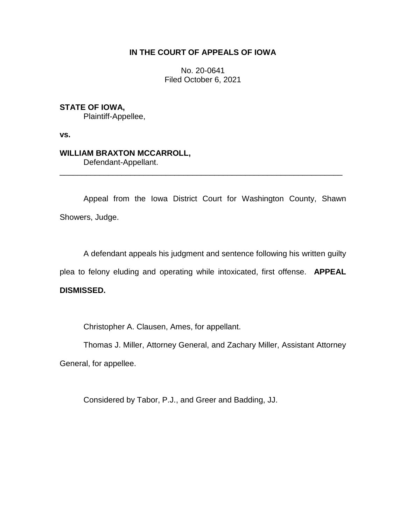## **IN THE COURT OF APPEALS OF IOWA**

No. 20-0641 Filed October 6, 2021

## **STATE OF IOWA,**

Plaintiff-Appellee,

**vs.**

## **WILLIAM BRAXTON MCCARROLL,**

Defendant-Appellant.

Appeal from the Iowa District Court for Washington County, Shawn Showers, Judge.

\_\_\_\_\_\_\_\_\_\_\_\_\_\_\_\_\_\_\_\_\_\_\_\_\_\_\_\_\_\_\_\_\_\_\_\_\_\_\_\_\_\_\_\_\_\_\_\_\_\_\_\_\_\_\_\_\_\_\_\_\_\_\_\_

A defendant appeals his judgment and sentence following his written guilty plea to felony eluding and operating while intoxicated, first offense. **APPEAL** 

## **DISMISSED.**

Christopher A. Clausen, Ames, for appellant.

Thomas J. Miller, Attorney General, and Zachary Miller, Assistant Attorney General, for appellee.

Considered by Tabor, P.J., and Greer and Badding, JJ.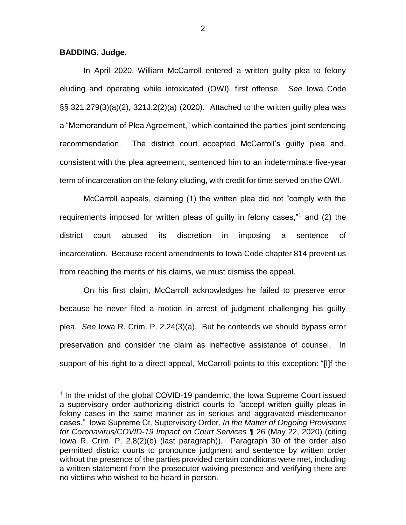**BADDING, Judge.**

 $\overline{a}$ 

In April 2020, William McCarroll entered a written guilty plea to felony eluding and operating while intoxicated (OWI), first offense. *See* Iowa Code §§ 321.279(3)(a)(2), 321J.2(2)(a) (2020). Attached to the written guilty plea was a "Memorandum of Plea Agreement," which contained the parties' joint sentencing recommendation. The district court accepted McCarroll's guilty plea and, consistent with the plea agreement, sentenced him to an indeterminate five-year term of incarceration on the felony eluding, with credit for time served on the OWI.

McCarroll appeals, claiming (1) the written plea did not "comply with the requirements imposed for written pleas of guilty in felony cases,"<sup>1</sup> and (2) the district court abused its discretion in imposing a sentence of incarceration. Because recent amendments to Iowa Code chapter 814 prevent us from reaching the merits of his claims, we must dismiss the appeal.

On his first claim, McCarroll acknowledges he failed to preserve error because he never filed a motion in arrest of judgment challenging his guilty plea. *See* Iowa R. Crim. P. 2.24(3)(a). But he contends we should bypass error preservation and consider the claim as ineffective assistance of counsel. In support of his right to a direct appeal, McCarroll points to this exception: "[I]f the

2

<sup>&</sup>lt;sup>1</sup> In the midst of the global COVID-19 pandemic, the Iowa Supreme Court issued a supervisory order authorizing district courts to "accept written guilty pleas in felony cases in the same manner as in serious and aggravated misdemeanor cases." Iowa Supreme Ct. Supervisory Order, *In the Matter of Ongoing Provisions for Coronavirus/COVID-19 Impact on Court Services* ¶ 26 (May 22, 2020) (citing Iowa R. Crim. P. 2.8(2)(b) (last paragraph)). Paragraph 30 of the order also permitted district courts to pronounce judgment and sentence by written order without the presence of the parties provided certain conditions were met, including a written statement from the prosecutor waiving presence and verifying there are no victims who wished to be heard in person.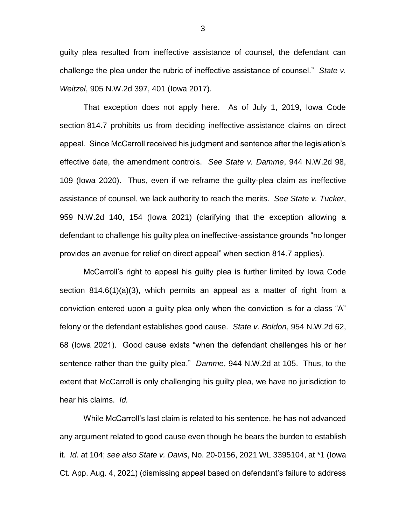guilty plea resulted from ineffective assistance of counsel, the defendant can challenge the plea under the rubric of ineffective assistance of counsel." *State v. Weitzel*, 905 N.W.2d 397, 401 (Iowa 2017).

That exception does not apply here. As of July 1, 2019, Iowa Code section 814.7 prohibits us from deciding ineffective-assistance claims on direct appeal. Since McCarroll received his judgment and sentence after the legislation's effective date, the amendment controls. *See State v. Damme*, 944 N.W.2d 98, 109 (Iowa 2020). Thus, even if we reframe the guilty-plea claim as ineffective assistance of counsel, we lack authority to reach the merits. *See State v. Tucker*, 959 N.W.2d 140, 154 (Iowa 2021) (clarifying that the exception allowing a defendant to challenge his guilty plea on ineffective-assistance grounds "no longer provides an avenue for relief on direct appeal" when section 814.7 applies).

McCarroll's right to appeal his guilty plea is further limited by Iowa Code section 814.6(1)(a)(3), which permits an appeal as a matter of right from a conviction entered upon a guilty plea only when the conviction is for a class "A" felony or the defendant establishes good cause. *State v. Boldon*, 954 N.W.2d 62, 68 (Iowa 2021). Good cause exists "when the defendant challenges his or her sentence rather than the guilty plea." *Damme*, 944 N.W.2d at 105. Thus, to the extent that McCarroll is only challenging his guilty plea, we have no jurisdiction to hear his claims. *Id.* 

While McCarroll's last claim is related to his sentence, he has not advanced any argument related to good cause even though he bears the burden to establish it. *Id.* at 104; *see also State v. Davis*, No. 20-0156, 2021 WL 3395104, at \*1 (Iowa Ct. App. Aug. 4, 2021) (dismissing appeal based on defendant's failure to address